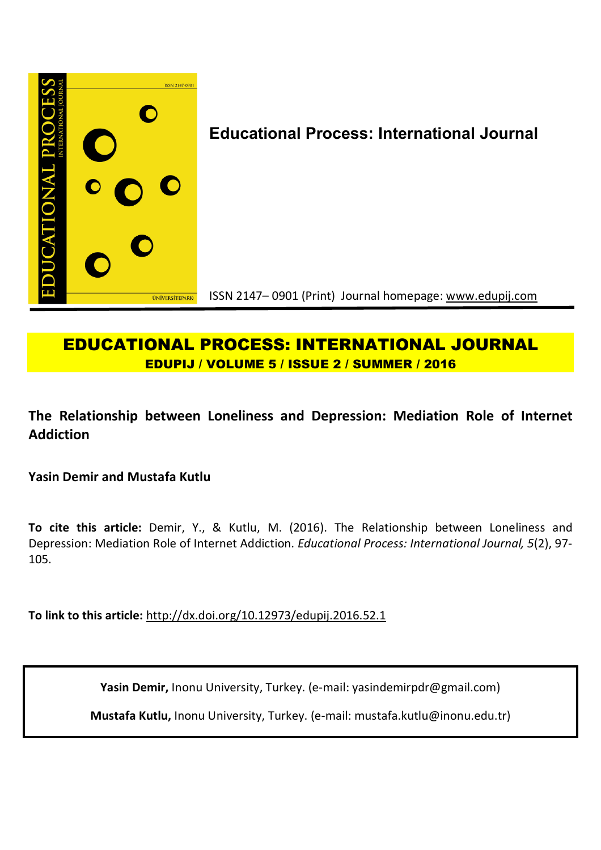

# **EDUCATIONAL PROCESS: INTERNATIONAL JOURNAL EDUPIJ / VOLUME 5 / ISSUE 2 / SUMMER / 2016**

## **The Relationship between Loneliness and Depression: Mediation Role of Internet Addiction**

**Yasin Demir and Mustafa Kutlu**

**To cite this article:** Demir, Y., & Kutlu, M. (2016). The Relationship between Loneliness and Depression: Mediation Role of Internet Addiction. *Educational Process: International Journal, 5*(2), 97- 105.

**To link to this article:** http://dx.doi.org/10.12973/edupij.2016.52.1

**Yasin Demir,** Inonu University, Turkey. (e-mail: yasindemirpdr@gmail.com)

**Mustafa Kutlu,** Inonu University, Turkey. (e-mail: mustafa.kutlu@inonu.edu.tr)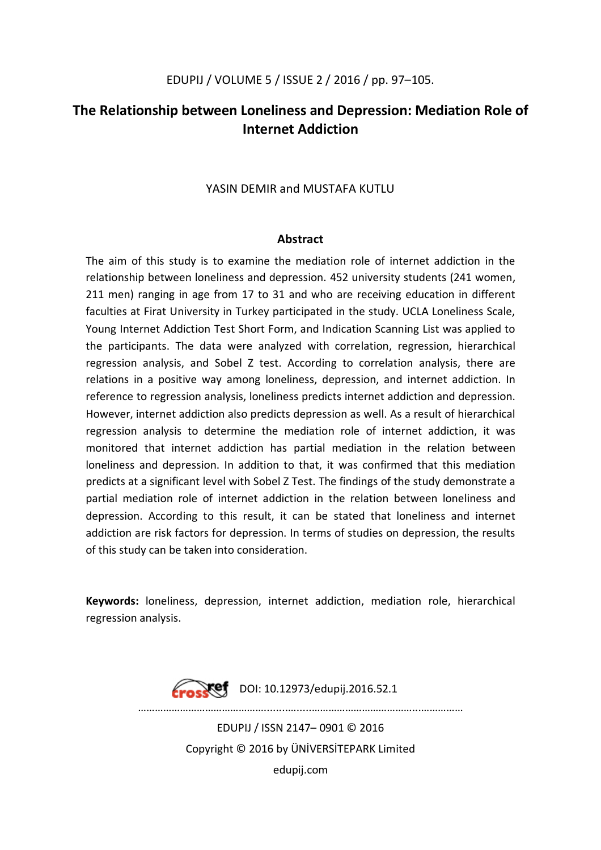### **The Relationship between Loneliness and Depression: Mediation Role of Internet Addiction**

### YASIN DEMIR and MUSTAFA KUTLU

#### **Abstract**

The aim of this study is to examine the mediation role of internet addiction in the relationship between loneliness and depression. 452 university students (241 women, 211 men) ranging in age from 17 to 31 and who are receiving education in different faculties at Firat University in Turkey participated in the study. UCLA Loneliness Scale, Young Internet Addiction Test Short Form, and Indication Scanning List was applied to the participants. The data were analyzed with correlation, regression, hierarchical regression analysis, and Sobel Z test. According to correlation analysis, there are relations in a positive way among loneliness, depression, and internet addiction. In reference to regression analysis, loneliness predicts internet addiction and depression. However, internet addiction also predicts depression as well. As a result of hierarchical regression analysis to determine the mediation role of internet addiction, it was monitored that internet addiction has partial mediation in the relation between loneliness and depression. In addition to that, it was confirmed that this mediation predicts at a significant level with Sobel Z Test. The findings of the study demonstrate a partial mediation role of internet addiction in the relation between loneliness and depression. According to this result, it can be stated that loneliness and internet addiction are risk factors for depression. In terms of studies on depression, the results of this study can be taken into consideration.

**Keywords:** loneliness, depression, internet addiction, mediation role, hierarchical regression analysis.

> **Erosset** DOI: 10.12973/edupij.2016.52.1 ………………………………………........….....………………………………...…………… EDUPIJ / ISSN 2147– 0901 © 2016 Copyright © 2016 by ÜNİVERSİTEPARK Limited edupij.com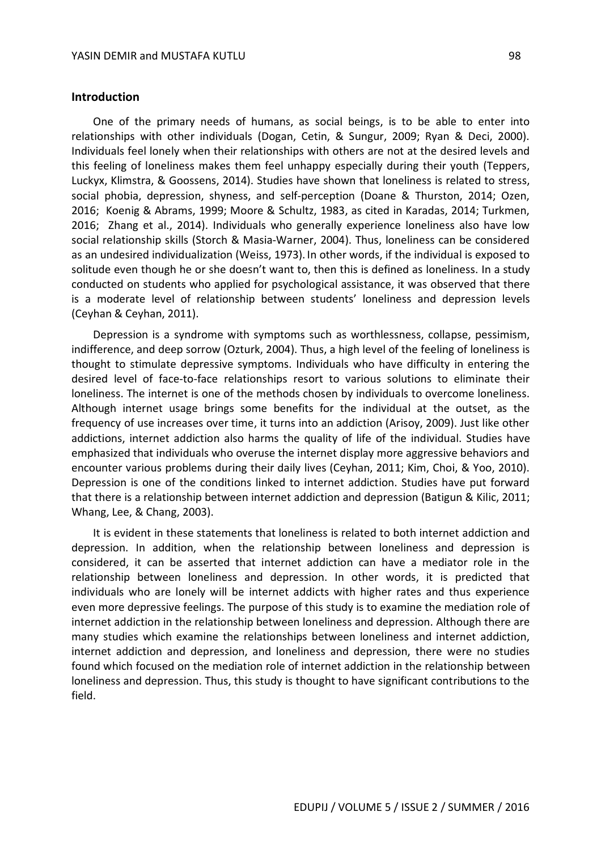One of the primary needs of humans, as social beings, is to be able to enter into relationships with other individuals (Dogan, Cetin, & Sungur, 2009; Ryan & Deci, 2000). Individuals feel lonely when their relationships with others are not at the desired levels and this feeling of loneliness makes them feel unhappy especially during their youth (Teppers, Luckyx, Klimstra, & Goossens, 2014). Studies have shown that loneliness is related to stress, social phobia, depression, shyness, and self-perception (Doane & Thurston, 2014; Ozen, 2016; Koenig & Abrams, 1999; Moore & Schultz, 1983, as cited in Karadas, 2014; Turkmen, 2016; Zhang et al., 2014). Individuals who generally experience loneliness also have low social relationship skills (Storch & Masia-Warner, 2004). Thus, loneliness can be considered as an undesired individualization (Weiss, 1973). In other words, if the individual is exposed to solitude even though he or she doesn't want to, then this is defined as loneliness. In a study conducted on students who applied for psychological assistance, it was observed that there is a moderate level of relationship between students' loneliness and depression levels (Ceyhan & Ceyhan, 2011).

Depression is a syndrome with symptoms such as worthlessness, collapse, pessimism, indifference, and deep sorrow (Ozturk, 2004). Thus, a high level of the feeling of loneliness is thought to stimulate depressive symptoms. Individuals who have difficulty in entering the desired level of face-to-face relationships resort to various solutions to eliminate their loneliness. The internet is one of the methods chosen by individuals to overcome loneliness. Although internet usage brings some benefits for the individual at the outset, as the frequency of use increases over time, it turns into an addiction (Arisoy, 2009). Just like other addictions, internet addiction also harms the quality of life of the individual. Studies have emphasized that individuals who overuse the internet display more aggressive behaviors and encounter various problems during their daily lives (Ceyhan, 2011; Kim, Choi, & Yoo, 2010). Depression is one of the conditions linked to internet addiction. Studies have put forward that there is a relationship between internet addiction and depression (Batigun & Kilic, 2011; Whang, Lee, & Chang, 2003).

It is evident in these statements that loneliness is related to both internet addiction and depression. In addition, when the relationship between loneliness and depression is considered, it can be asserted that internet addiction can have a mediator role in the relationship between loneliness and depression. In other words, it is predicted that individuals who are lonely will be internet addicts with higher rates and thus experience even more depressive feelings. The purpose of this study is to examine the mediation role of internet addiction in the relationship between loneliness and depression. Although there are many studies which examine the relationships between loneliness and internet addiction, internet addiction and depression, and loneliness and depression, there were no studies found which focused on the mediation role of internet addiction in the relationship between loneliness and depression. Thus, this study is thought to have significant contributions to the field.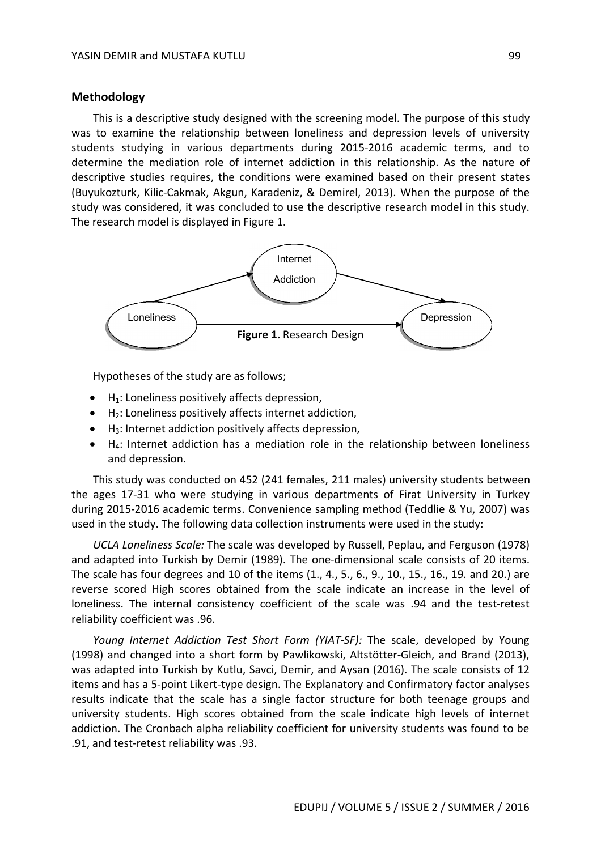#### **Methodology**

This is a descriptive study designed with the screening model. The purpose of this study was to examine the relationship between loneliness and depression levels of university students studying in various departments during 2015-2016 academic terms, and to determine the mediation role of internet addiction in this relationship. As the nature of descriptive studies requires, the conditions were examined based on their present states (Buyukozturk, Kilic-Cakmak, Akgun, Karadeniz, & Demirel, 2013). When the purpose of the study was considered, it was concluded to use the descriptive research model in this study. The research model is displayed in Figure 1.



Hypotheses of the study are as follows;

- $\bullet$  H<sub>1</sub>: Loneliness positively affects depression,
- $H_2$ : Loneliness positively affects internet addiction,
- $H_3$ : Internet addiction positively affects depression,
- $\bullet$  H<sub>4</sub>: Internet addiction has a mediation role in the relationship between loneliness and depression.

This study was conducted on 452 (241 females, 211 males) university students between the ages 17-31 who were studying in various departments of Firat University in Turkey during 2015-2016 academic terms. Convenience sampling method (Teddlie & Yu, 2007) was used in the study. The following data collection instruments were used in the study:

*UCLA Loneliness Scale:* The scale was developed by Russell, Peplau, and Ferguson (1978) and adapted into Turkish by Demir (1989). The one-dimensional scale consists of 20 items. The scale has four degrees and 10 of the items (1., 4., 5., 6., 9., 10., 15., 16., 19. and 20.) are reverse scored High scores obtained from the scale indicate an increase in the level of loneliness. The internal consistency coefficient of the scale was .94 and the test-retest reliability coefficient was .96.

*Young Internet Addiction Test Short Form (YIAT-SF):* The scale, developed by Young (1998) and changed into a short form by Pawlikowski, Altstötter-Gleich, and Brand (2013), was adapted into Turkish by Kutlu, Savci, Demir, and Aysan (2016). The scale consists of 12 items and has a 5-point Likert-type design. The Explanatory and Confirmatory factor analyses results indicate that the scale has a single factor structure for both teenage groups and university students. High scores obtained from the scale indicate high levels of internet addiction. The Cronbach alpha reliability coefficient for university students was found to be .91, and test-retest reliability was .93.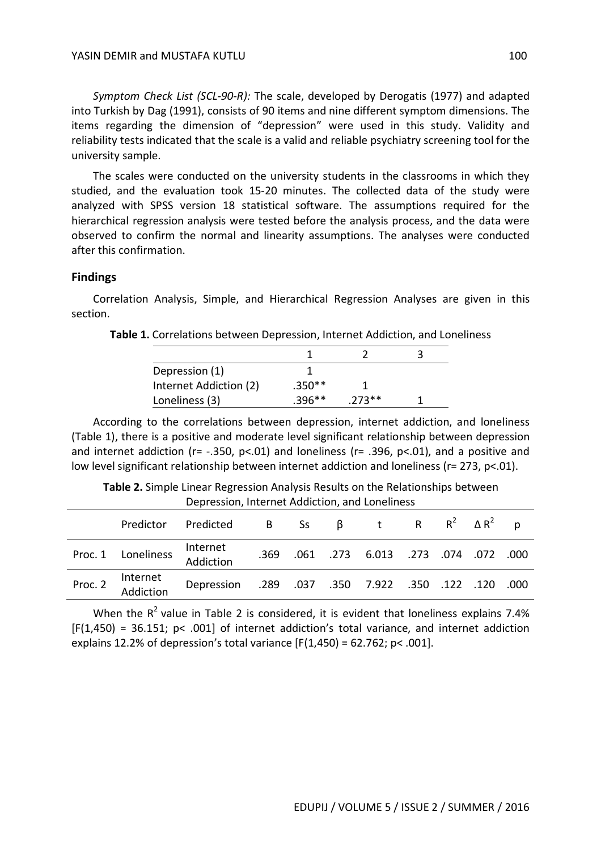*Symptom Check List (SCL-90-R):* The scale, developed by Derogatis (1977) and adapted into Turkish by Dag (1991), consists of 90 items and nine different symptom dimensions. The items regarding the dimension of "depression" were used in this study. Validity and reliability tests indicated that the scale is a valid and reliable psychiatry screening tool for the university sample.

The scales were conducted on the university students in the classrooms in which they studied, and the evaluation took 15-20 minutes. The collected data of the study were analyzed with SPSS version 18 statistical software. The assumptions required for the hierarchical regression analysis were tested before the analysis process, and the data were observed to confirm the normal and linearity assumptions. The analyses were conducted after this confirmation.

#### **Findings**

Correlation Analysis, Simple, and Hierarchical Regression Analyses are given in this section.

| Depression (1)         |          |         |  |
|------------------------|----------|---------|--|
| Internet Addiction (2) | $.350**$ |         |  |
| Loneliness (3)         | 396**    | $773**$ |  |

**Table 1.** Correlations between Depression, Internet Addiction, and Loneliness

According to the correlations between depression, internet addiction, and loneliness (Table 1), there is a positive and moderate level significant relationship between depression and internet addiction ( $r=$  -.350,  $p<$ .01) and loneliness ( $r=$  .396,  $p<$ .01), and a positive and low level significant relationship between internet addiction and loneliness (r= 273, p<.01).

**Table 2.** Simple Linear Regression Analysis Results on the Relationships between Depression, Internet Addiction, and Loneliness

|         | Predictor             | Predicted B Ss $\beta$ t R $R^2$ $\Delta R^2$ p     |  |                                          |  |  |
|---------|-----------------------|-----------------------------------------------------|--|------------------------------------------|--|--|
|         | Proc. 1 Loneliness    | Internet<br>Addiction                               |  | .369 .061 .273 6.013 .273 .074 .072 .000 |  |  |
| Proc. 2 | Internet<br>Addiction | 000. Depression .289 .037 .350 7.922 .350 .122 .120 |  |                                          |  |  |

When the  $R^2$  value in Table 2 is considered, it is evident that loneliness explains 7.4% [F(1,450) = 36.151; p< .001] of internet addiction's total variance, and internet addiction explains 12.2% of depression's total variance  $[F(1,450) = 62.762; p < .001]$ .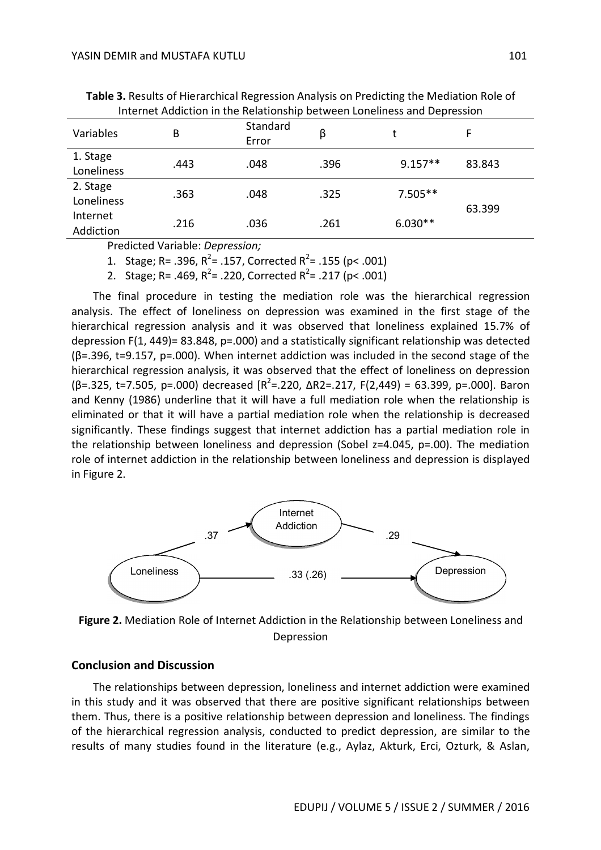| internet Addiction in the Relationship between Loneliness and Depression |      |                   |      |           |        |  |
|--------------------------------------------------------------------------|------|-------------------|------|-----------|--------|--|
| Variables                                                                | B    | Standard<br>Error | β    |           | F      |  |
| 1. Stage<br>Loneliness                                                   | .443 | .048              | .396 | $9.157**$ | 83.843 |  |
| 2. Stage<br>Loneliness                                                   | .363 | .048              | .325 | $7.505**$ | 63.399 |  |
| Internet<br>Addiction                                                    | .216 | .036              | .261 | $6.030**$ |        |  |

**Table 3.** Results of Hierarchical Regression Analysis on Predicting the Mediation Role of Internet Addiction in the Relationship between Loneliness and Depression

Predicted Variable: *Depression;*

1. Stage; R= .396, R<sup>2</sup>= .157, Corrected R<sup>2</sup>= .155 (p< .001)

2. Stage; R= .469, R<sup>2</sup>= .220, Corrected R<sup>2</sup>= .217 (p< .001)

The final procedure in testing the mediation role was the hierarchical regression analysis. The effect of loneliness on depression was examined in the first stage of the hierarchical regression analysis and it was observed that loneliness explained 15.7% of depression F(1, 449)= 83.848, p=.000) and a statistically significant relationship was detected  $(\beta = 0.396, t = 9.157, p = 0.000)$ . When internet addiction was included in the second stage of the hierarchical regression analysis, it was observed that the effect of loneliness on depression  $(β=.325, t=7.505, p=.000)$  decreased  $[R^2=.220, ΔR2=.217, F(2,449) = 63.399, p=.000].$  Baron and Kenny (1986) underline that it will have a full mediation role when the relationship is eliminated or that it will have a partial mediation role when the relationship is decreased significantly. These findings suggest that internet addiction has a partial mediation role in the relationship between loneliness and depression (Sobel z=4.045, p=.00). The mediation role of internet addiction in the relationship between loneliness and depression is displayed in Figure 2.



**Figure 2.** Mediation Role of Internet Addiction in the Relationship between Loneliness and Depression

#### **Conclusion and Discussion**

The relationships between depression, loneliness and internet addiction were examined in this study and it was observed that there are positive significant relationships between them. Thus, there is a positive relationship between depression and loneliness. The findings of the hierarchical regression analysis, conducted to predict depression, are similar to the results of many studies found in the literature (e.g., Aylaz, Akturk, Erci, Ozturk, & Aslan,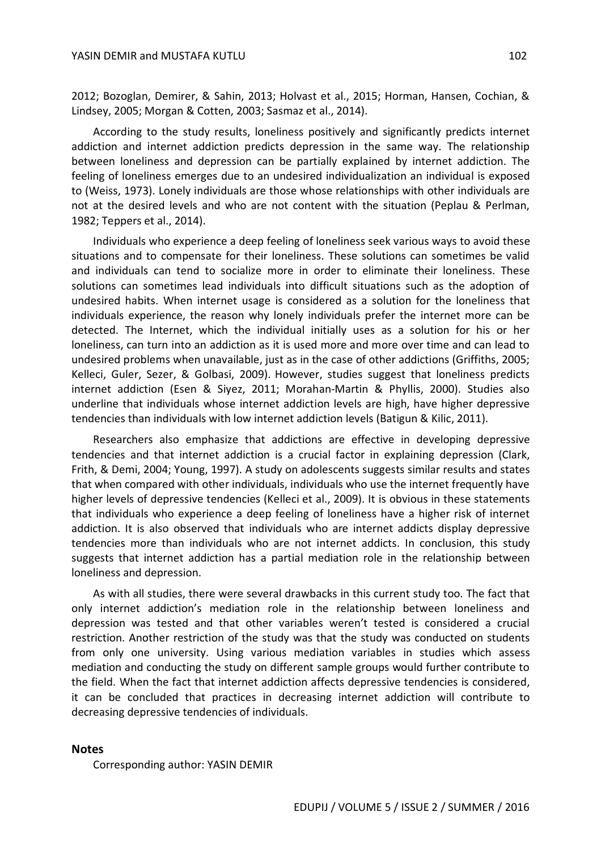2012; Bozoglan, Demirer, & Sahin, 2013; Holvast et al., 2015; Horman, Hansen, Cochian, & Lindsey, 2005; Morgan & Cotten, 2003; Sasmaz et al., 2014).

According to the study results, loneliness positively and significantly predicts internet addiction and internet addiction predicts depression in the same way. The relationship between loneliness and depression can be partially explained by internet addiction. The feeling of loneliness emerges due to an undesired individualization an individual is exposed to (Weiss, 1973). Lonely individuals are those whose relationships with other individuals are not at the desired levels and who are not content with the situation (Peplau & Perlman, 1982; Teppers et al., 2014).

Individuals who experience a deep feeling of loneliness seek various ways to avoid these situations and to compensate for their loneliness. These solutions can sometimes be valid and individuals can tend to socialize more in order to eliminate their loneliness. These solutions can sometimes lead individuals into difficult situations such as the adoption of undesired habits. When internet usage is considered as a solution for the loneliness that individuals experience, the reason why lonely individuals prefer the internet more can be detected. The Internet, which the individual initially uses as a solution for his or her loneliness, can turn into an addiction as it is used more and more over time and can lead to undesired problems when unavailable, just as in the case of other addictions (Griffiths, 2005; Kelleci, Guler, Sezer, & Golbasi, 2009). However, studies suggest that loneliness predicts internet addiction (Esen & Siyez, 2011; Morahan-Martin & Phyllis, 2000). Studies also underline that individuals whose internet addiction levels are high, have higher depressive tendencies than individuals with low internet addiction levels (Batigun & Kilic, 2011).

Researchers also emphasize that addictions are effective in developing depressive tendencies and that internet addiction is a crucial factor in explaining depression (Clark, Frith, & Demi, 2004; Young, 1997). A study on adolescents suggests similar results and states that when compared with other individuals, individuals who use the internet frequently have higher levels of depressive tendencies (Kelleci et al., 2009). It is obvious in these statements that individuals who experience a deep feeling of loneliness have a higher risk of internet addiction. It is also observed that individuals who are internet addicts display depressive tendencies more than individuals who are not internet addicts. In conclusion, this study suggests that internet addiction has a partial mediation role in the relationship between loneliness and depression.

As with all studies, there were several drawbacks in this current study too. The fact that only internet addiction's mediation role in the relationship between loneliness and depression was tested and that other variables weren't tested is considered a crucial restriction. Another restriction of the study was that the study was conducted on students from only one university. Using various mediation variables in studies which assess mediation and conducting the study on different sample groups would further contribute to the field. When the fact that internet addiction affects depressive tendencies is considered, it can be concluded that practices in decreasing internet addiction will contribute to decreasing depressive tendencies of individuals.

#### **Notes**

Corresponding author: YASIN DEMIR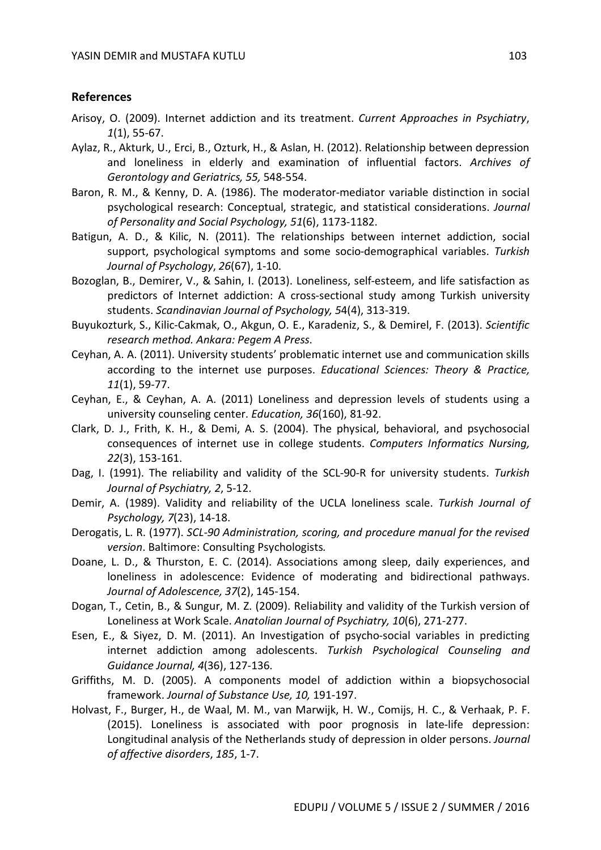#### **References**

- Arisoy, O. (2009). Internet addiction and its treatment. *Current Approaches in Psychiatry*, *1*(1), 55-67.
- Aylaz, R., Akturk, U., Erci, B., Ozturk, H., & Aslan, H. (2012). Relationship between depression and loneliness in elderly and examination of influential factors. *Archives of Gerontology and Geriatrics, 55,* 548-554.
- Baron, R. M., & Kenny, D. A. (1986). The moderator-mediator variable distinction in social psychological research: Conceptual, strategic, and statistical considerations. *Journal of Personality and Social Psychology, 51*(6), 1173-1182.
- Batigun, A. D., & Kilic, N. (2011). The relationships between internet addiction, social support, psychological symptoms and some socio-demographical variables. *Turkish Journal of Psychology*, *26*(67), 1-10.
- Bozoglan, B., Demirer, V., & Sahin, I. (2013). Loneliness, self-esteem, and life satisfaction as predictors of Internet addiction: A cross-sectional study among Turkish university students. *Scandinavian Journal of Psychology, 5*4(4), 313-319.
- Buyukozturk, S., Kilic-Cakmak, O., Akgun, O. E., Karadeniz, S., & Demirel, F. (2013). *Scientific research method. Ankara: Pegem A Press*.
- Ceyhan, A. A. (2011). University students' problematic internet use and communication skills according to the internet use purposes. *Educational Sciences: Theory & Practice, 11*(1), 59-77.
- Ceyhan, E., & Ceyhan, A. A. (2011) Loneliness and depression levels of students using a university counseling center. *Education, 36*(160), 81-92.
- Clark, D. J., Frith, K. H., & Demi, A. S. (2004). The physical, behavioral, and psychosocial consequences of internet use in college students. *Computers Informatics Nursing, 22*(3), 153-161.
- Dag, I. (1991). The reliability and validity of the SCL-90-R for university students. *Turkish Journal of Psychiatry, 2*, 5-12.
- Demir, A. (1989). Validity and reliability of the UCLA loneliness scale. *Turkish Journal of Psychology, 7*(23), 14-18.
- Derogatis, L. R. (1977). *SCL-90 Administration, scoring, and procedure manual for the revised version*. Baltimore: Consulting Psychologists*.*
- Doane, L. D., & Thurston, E. C. (2014). Associations among sleep, daily experiences, and loneliness in adolescence: Evidence of moderating and bidirectional pathways. *Journal of Adolescence, 37*(2), 145-154.
- Dogan, T., Cetin, B., & Sungur, M. Z. (2009). Reliability and validity of the Turkish version of Loneliness at Work Scale. *Anatolian Journal of Psychiatry, 10*(6), 271-277.
- Esen, E., & Siyez, D. M. (2011). An Investigation of psycho-social variables in predicting internet addiction among adolescents. *Turkish Psychological Counseling and Guidance Journal, 4*(36), 127-136.
- Griffiths, M. D. (2005). A components model of addiction within a biopsychosocial framework. *Journal of Substance Use, 10,* 191-197.
- Holvast, F., Burger, H., de Waal, M. M., van Marwijk, H. W., Comijs, H. C., & Verhaak, P. F. (2015). Loneliness is associated with poor prognosis in late-life depression: Longitudinal analysis of the Netherlands study of depression in older persons. *Journal of affective disorders*, *185*, 1-7.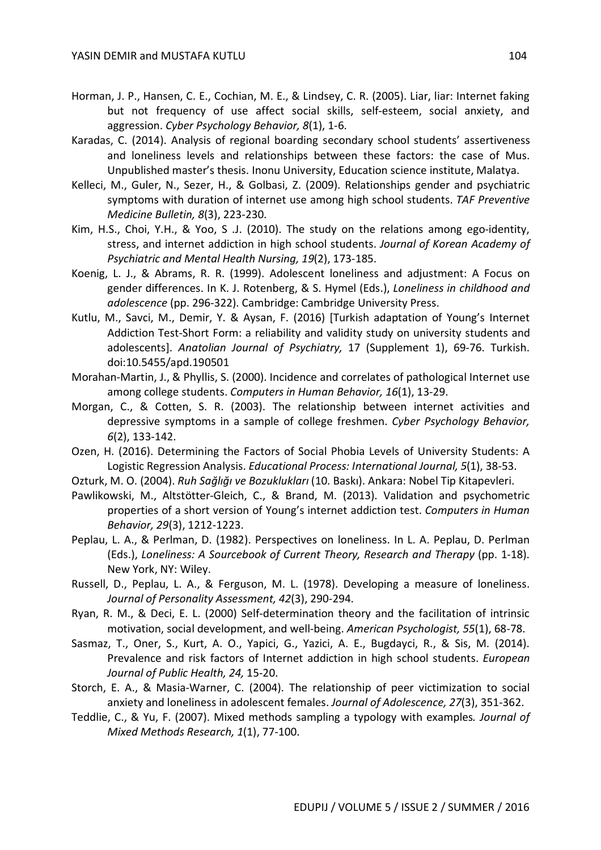- Horman, J. P., Hansen, C. E., Cochian, M. E., & Lindsey, C. R. (2005). Liar, liar: Internet faking but not frequency of use affect social skills, self-esteem, social anxiety, and aggression. *Cyber Psychology Behavior, 8*(1), 1-6.
- Karadas, C. (2014). Analysis of regional boarding secondary school students' assertiveness and loneliness levels and relationships between these factors: the case of Mus. Unpublished master's thesis. Inonu University, Education science institute, Malatya.
- Kelleci, M., Guler, N., Sezer, H., & Golbasi, Z. (2009). Relationships gender and psychiatric symptoms with duration of internet use among high school students. *TAF Preventive Medicine Bulletin, 8*(3), 223-230.
- Kim, H.S., Choi, Y.H., & Yoo, S .J. (2010). The study on the relations among ego-identity, stress, and internet addiction in high school students. *Journal of Korean Academy of Psychiatric and Mental Health Nursing, 19*(2), 173-185.
- Koenig, L. J., & Abrams, R. R. (1999). Adolescent loneliness and adjustment: A Focus on gender differences. In K. J. Rotenberg, & S. Hymel (Eds.), *Loneliness in childhood and adolescence* (pp. 296-322). Cambridge: Cambridge University Press.
- Kutlu, M., Savci, M., Demir, Y. & Aysan, F. (2016) [Turkish adaptation of Young's Internet Addiction Test-Short Form: a reliability and validity study on university students and adolescents]. *Anatolian Journal of Psychiatry,* 17 (Supplement 1), 69-76. Turkish. doi:10.5455/apd.190501
- Morahan-Martin, J., & Phyllis, S. (2000). Incidence and correlates of pathological Internet use among college students. *Computers in Human Behavior, 16*(1), 13-29.
- Morgan, C., & Cotten, S. R. (2003). The relationship between internet activities and depressive symptoms in a sample of college freshmen. *Cyber Psychology Behavior, 6*(2), 133-142.
- Ozen, H. (2016). Determining the Factors of Social Phobia Levels of University Students: A Logistic Regression Analysis. *Educational Process: International Journal, 5*(1), 38-53.
- Ozturk, M. O. (2004). *Ruh Sağlığı ve Bozuklukları* (10. Baskı). Ankara: Nobel Tip Kitapevleri.
- Pawlikowski, M., Altstötter-Gleich, C., & Brand, M. (2013). Validation and psychometric properties of a short version of Young's internet addiction test. *Computers in Human Behavior, 29*(3), 1212-1223.
- Peplau, L. A., & Perlman, D. (1982). Perspectives on loneliness. In L. A. Peplau, D. Perlman (Eds.), *Loneliness: A Sourcebook of Current Theory, Research and Therapy* (pp. 1-18). New York, NY: Wiley.
- Russell, D., Peplau, L. A., & Ferguson, M. L. (1978). Developing a measure of loneliness. *Journal of Personality Assessment, 42*(3), 290-294.
- Ryan, R. M., & Deci, E. L. (2000) Self-determination theory and the facilitation of intrinsic motivation, social development, and well-being. *American Psychologist, 55*(1), 68-78.
- Sasmaz, T., Oner, S., Kurt, A. O., Yapici, G., Yazici, A. E., Bugdayci, R., & Sis, M. (2014). Prevalence and risk factors of Internet addiction in high school students. *European Journal of Public Health, 24,* 15-20.
- Storch, E. A., & Masia-Warner, C. (2004). The relationship of peer victimization to social anxiety and loneliness in adolescent females. *Journal of Adolescence, 27*(3), 351-362.
- Teddlie, C., & Yu, F. (2007). Mixed methods sampling a typology with examples*. Journal of Mixed Methods Research, 1*(1), 77-100.